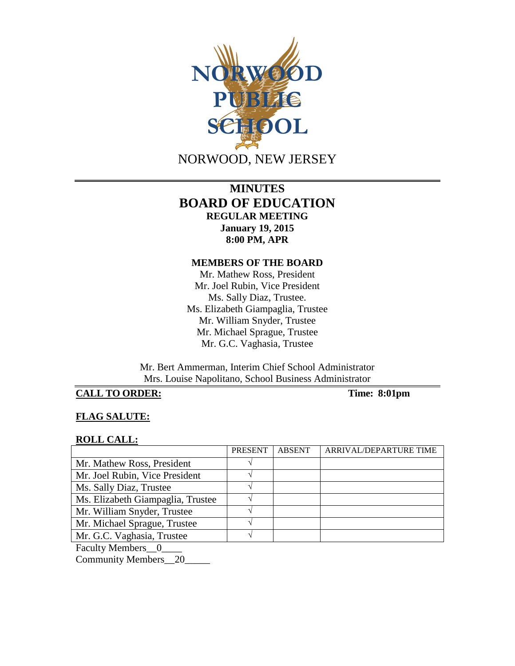

# **MINUTES BOARD OF EDUCATION REGULAR MEETING January 19, 2015 8:00 PM, APR**

#### **MEMBERS OF THE BOARD**

Mr. Mathew Ross, President Mr. Joel Rubin, Vice President Ms. Sally Diaz, Trustee. Ms. Elizabeth Giampaglia, Trustee Mr. William Snyder, Trustee Mr. Michael Sprague, Trustee Mr. G.C. Vaghasia, Trustee

Mr. Bert Ammerman, Interim Chief School Administrator Mrs. Louise Napolitano, School Business Administrator

## **CALL TO ORDER: Time: 8:01pm**

## **FLAG SALUTE:**

#### **ROLL CALL:**

|                                   | PRESENT | <b>ABSENT</b> | ARRIVAL/DEPARTURE TIME |
|-----------------------------------|---------|---------------|------------------------|
| Mr. Mathew Ross, President        |         |               |                        |
| Mr. Joel Rubin, Vice President    |         |               |                        |
| Ms. Sally Diaz, Trustee           |         |               |                        |
| Ms. Elizabeth Giampaglia, Trustee |         |               |                        |
| Mr. William Snyder, Trustee       |         |               |                        |
| Mr. Michael Sprague, Trustee      |         |               |                        |
| Mr. G.C. Vaghasia, Trustee        |         |               |                        |
| _ _ _ _ _                         |         |               |                        |

Faculty Members\_0\_

Community Members\_\_20\_\_\_\_\_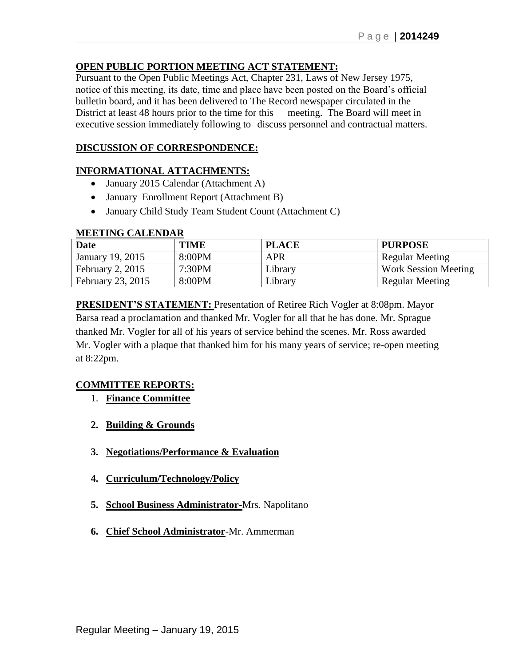## **OPEN PUBLIC PORTION MEETING ACT STATEMENT:**

Pursuant to the Open Public Meetings Act, Chapter 231, Laws of New Jersey 1975, notice of this meeting, its date, time and place have been posted on the Board's official bulletin board, and it has been delivered to The Record newspaper circulated in the District at least 48 hours prior to the time for this meeting. The Board will meet in executive session immediately following to discuss personnel and contractual matters.

## **DISCUSSION OF CORRESPONDENCE:**

#### **INFORMATIONAL ATTACHMENTS:**

- January 2015 Calendar (Attachment A)
- January Enrollment Report (Attachment B)
- January Child Study Team Student Count (Attachment C)

#### **MEETING CALENDAR**

| <b>Date</b>       | <b>TIME</b> | <b>PLACE</b> | <b>PURPOSE</b>              |
|-------------------|-------------|--------------|-----------------------------|
| January 19, 2015  | 8:00PM      | APR          | Regular Meeting             |
| February 2, 2015  | 7:30PM      | Library      | <b>Work Session Meeting</b> |
| February 23, 2015 | 8:00PM      | Library      | <b>Regular Meeting</b>      |

**PRESIDENT'S STATEMENT:** Presentation of Retiree Rich Vogler at 8:08pm. Mayor Barsa read a proclamation and thanked Mr. Vogler for all that he has done. Mr. Sprague thanked Mr. Vogler for all of his years of service behind the scenes. Mr. Ross awarded Mr. Vogler with a plaque that thanked him for his many years of service; re-open meeting at 8:22pm.

## **COMMITTEE REPORTS:**

- 1. **Finance Committee**
- **2. Building & Grounds**
- **3. Negotiations/Performance & Evaluation**
- **4. Curriculum/Technology/Policy**
- **5. School Business Administrator-**Mrs. Napolitano
- **6. Chief School Administrator**-Mr. Ammerman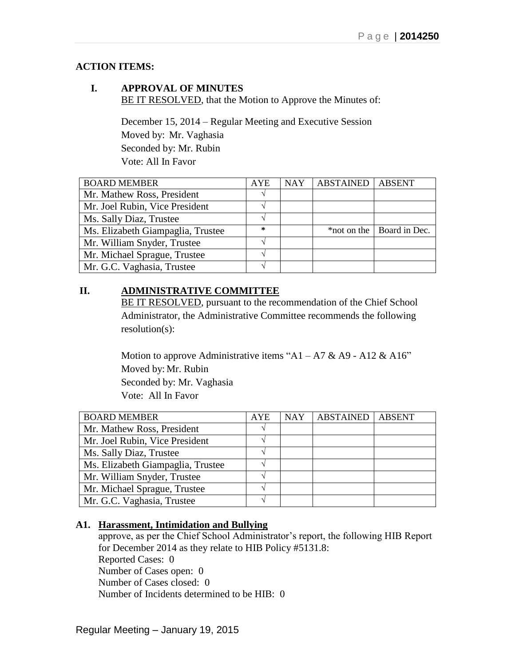## **ACTION ITEMS:**

### **I. APPROVAL OF MINUTES** BE IT RESOLVED, that the Motion to Approve the Minutes of:

December 15, 2014 – Regular Meeting and Executive Session Moved by: Mr. Vaghasia Seconded by: Mr. Rubin Vote: All In Favor

| <b>BOARD MEMBER</b>               | <b>AYE</b> | <b>NAY</b> | <b>ABSTAINED</b> | <b>ABSENT</b>               |
|-----------------------------------|------------|------------|------------------|-----------------------------|
| Mr. Mathew Ross, President        |            |            |                  |                             |
| Mr. Joel Rubin, Vice President    |            |            |                  |                             |
| Ms. Sally Diaz, Trustee           |            |            |                  |                             |
| Ms. Elizabeth Giampaglia, Trustee | $\ast$     |            |                  | *not on the   Board in Dec. |
| Mr. William Snyder, Trustee       |            |            |                  |                             |
| Mr. Michael Sprague, Trustee      |            |            |                  |                             |
| Mr. G.C. Vaghasia, Trustee        |            |            |                  |                             |

# **II. ADMINISTRATIVE COMMITTEE**

BE IT RESOLVED, pursuant to the recommendation of the Chief School Administrator, the Administrative Committee recommends the following resolution(s):

Motion to approve Administrative items "A1 – A7 & A9 - A12 & A16" Moved by: Mr. Rubin Seconded by: Mr. Vaghasia Vote: All In Favor

| <b>BOARD MEMBER</b>               | <b>AYE</b> | <b>NAY</b> | <b>ABSTAINED</b> | <b>ABSENT</b> |
|-----------------------------------|------------|------------|------------------|---------------|
| Mr. Mathew Ross, President        |            |            |                  |               |
| Mr. Joel Rubin, Vice President    |            |            |                  |               |
| Ms. Sally Diaz, Trustee           |            |            |                  |               |
| Ms. Elizabeth Giampaglia, Trustee |            |            |                  |               |
| Mr. William Snyder, Trustee       |            |            |                  |               |
| Mr. Michael Sprague, Trustee      |            |            |                  |               |
| Mr. G.C. Vaghasia, Trustee        |            |            |                  |               |

## **A1. Harassment, Intimidation and Bullying**

approve, as per the Chief School Administrator's report, the following HIB Report for December 2014 as they relate to HIB Policy #5131.8: Reported Cases: 0 Number of Cases open: 0 Number of Cases closed: 0 Number of Incidents determined to be HIB: 0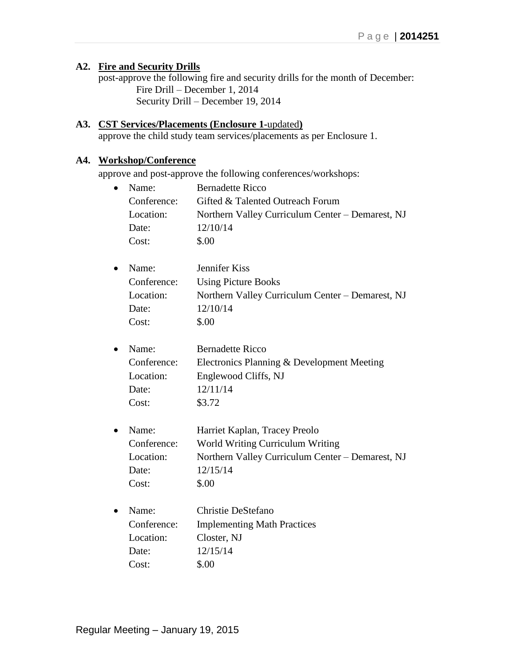## **A2. Fire and Security Drills**

post-approve the following fire and security drills for the month of December: Fire Drill – December 1, 2014 Security Drill – December 19, 2014

# **A3. CST Services/Placements (Enclosure 1-**updated**)**

approve the child study team services/placements as per Enclosure 1.

# **A4. Workshop/Conference**

approve and post-approve the following conferences/workshops:

|           | Name:       | <b>Bernadette Ricco</b>                          |
|-----------|-------------|--------------------------------------------------|
|           | Conference: | Gifted & Talented Outreach Forum                 |
|           | Location:   | Northern Valley Curriculum Center - Demarest, NJ |
|           | Date:       | 12/10/14                                         |
|           | Cost:       | \$.00                                            |
| $\bullet$ | Name:       | Jennifer Kiss                                    |
|           | Conference: | <b>Using Picture Books</b>                       |
|           | Location:   | Northern Valley Curriculum Center - Demarest, NJ |
|           | Date:       | 12/10/14                                         |
|           | Cost:       | \$.00                                            |
|           | Name:       | <b>Bernadette Ricco</b>                          |
|           | Conference: | Electronics Planning & Development Meeting       |
|           | Location:   | Englewood Cliffs, NJ                             |
|           | Date:       | 12/11/14                                         |
|           | Cost:       | \$3.72                                           |
| $\bullet$ | Name:       | Harriet Kaplan, Tracey Preolo                    |
|           | Conference: | World Writing Curriculum Writing                 |
|           | Location:   | Northern Valley Curriculum Center - Demarest, NJ |
|           | Date:       | 12/15/14                                         |
|           | Cost:       | \$.00                                            |
|           | Name:       | Christie DeStefano                               |
|           | Conference: | <b>Implementing Math Practices</b>               |
|           | Location:   | Closter, NJ                                      |
|           | Date:       | 12/15/14                                         |
|           | Cost:       | \$.00                                            |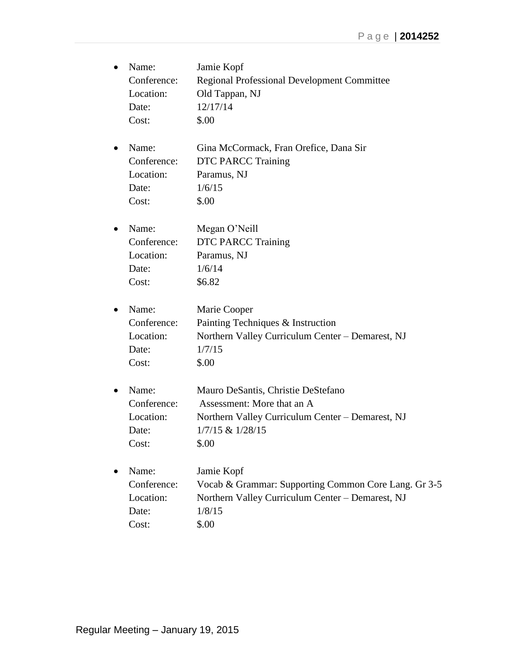| $\bullet$ | Name:       | Jamie Kopf                                           |
|-----------|-------------|------------------------------------------------------|
|           | Conference: | <b>Regional Professional Development Committee</b>   |
|           | Location:   | Old Tappan, NJ                                       |
|           | Date:       | 12/17/14                                             |
|           | Cost:       | \$.00                                                |
|           | Name:       | Gina McCormack, Fran Orefice, Dana Sir               |
|           | Conference: | <b>DTC PARCC Training</b>                            |
|           | Location:   | Paramus, NJ                                          |
|           | Date:       | 1/6/15                                               |
|           | Cost:       | \$.00                                                |
|           | Name:       | Megan O'Neill                                        |
|           | Conference: | <b>DTC PARCC Training</b>                            |
|           | Location:   | Paramus, NJ                                          |
|           | Date:       | 1/6/14                                               |
|           | Cost:       | \$6.82                                               |
|           | Name:       | Marie Cooper                                         |
|           | Conference: | Painting Techniques & Instruction                    |
|           | Location:   | Northern Valley Curriculum Center - Demarest, NJ     |
|           | Date:       | 1/7/15                                               |
|           | Cost:       | \$.00                                                |
|           | Name:       | Mauro DeSantis, Christie DeStefano                   |
|           | Conference: | Assessment: More that an A                           |
|           | Location:   | Northern Valley Curriculum Center - Demarest, NJ     |
|           | Date:       | 1/7/15 & 1/28/15                                     |
|           | Cost:       | \$.00                                                |
|           | Name:       | Jamie Kopf                                           |
|           | Conference: | Vocab & Grammar: Supporting Common Core Lang. Gr 3-5 |
|           | Location:   | Northern Valley Curriculum Center - Demarest, NJ     |
|           | Date:       | 1/8/15                                               |
|           | Cost:       | \$.00                                                |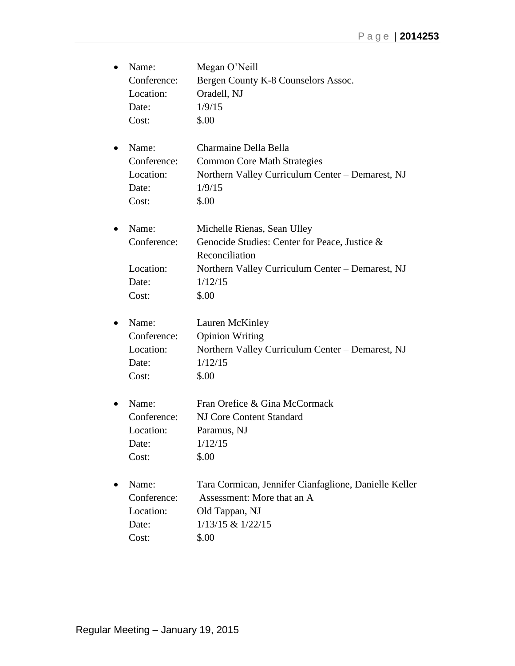| $\bullet$ | Name:       | Megan O'Neill                                         |
|-----------|-------------|-------------------------------------------------------|
|           | Conference: | Bergen County K-8 Counselors Assoc.                   |
|           | Location:   | Oradell, NJ                                           |
|           | Date:       | 1/9/15                                                |
|           | Cost:       | \$.00                                                 |
| $\bullet$ | Name:       | Charmaine Della Bella                                 |
|           | Conference: | <b>Common Core Math Strategies</b>                    |
|           | Location:   | Northern Valley Curriculum Center - Demarest, NJ      |
|           | Date:       | 1/9/15                                                |
|           | Cost:       | \$.00                                                 |
| $\bullet$ | Name:       | Michelle Rienas, Sean Ulley                           |
|           | Conference: | Genocide Studies: Center for Peace, Justice &         |
|           |             | Reconciliation                                        |
|           | Location:   | Northern Valley Curriculum Center - Demarest, NJ      |
|           | Date:       | 1/12/15                                               |
|           | Cost:       | \$.00                                                 |
| ٠         | Name:       | Lauren McKinley                                       |
|           | Conference: | <b>Opinion Writing</b>                                |
|           | Location:   | Northern Valley Curriculum Center - Demarest, NJ      |
|           | Date:       | 1/12/15                                               |
|           | Cost:       | \$.00                                                 |
| $\bullet$ | Name:       | Fran Orefice & Gina McCormack                         |
|           | Conference: | <b>NJ Core Content Standard</b>                       |
|           | Location:   | Paramus, NJ                                           |
|           | Date:       | 1/12/15                                               |
|           | Cost:       | \$.00                                                 |
|           | Name:       | Tara Cormican, Jennifer Cianfaglione, Danielle Keller |
|           | Conference: | Assessment: More that an A                            |
|           | Location:   | Old Tappan, NJ                                        |
|           | Date:       | $1/13/15$ & $1/22/15$                                 |
|           | Cost:       | \$.00                                                 |
|           |             |                                                       |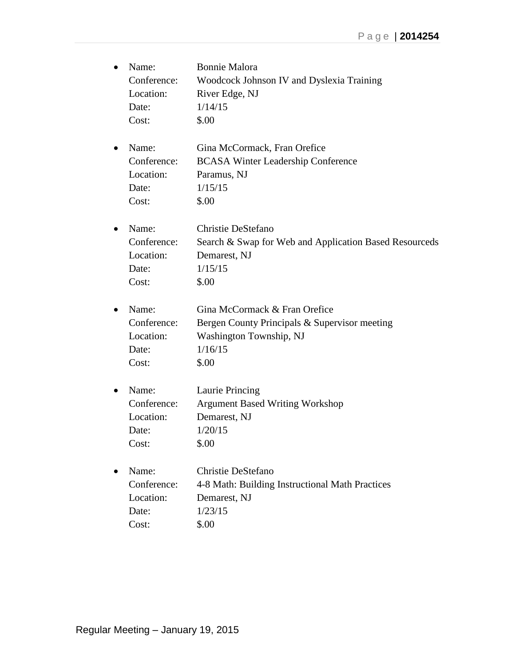| $\bullet$ | Name:       | <b>Bonnie Malora</b>                                   |
|-----------|-------------|--------------------------------------------------------|
|           | Conference: | Woodcock Johnson IV and Dyslexia Training              |
|           | Location:   | River Edge, NJ                                         |
|           | Date:       | 1/14/15                                                |
|           | Cost:       | \$.00                                                  |
| ٠         | Name:       | Gina McCormack, Fran Orefice                           |
|           | Conference: | <b>BCASA Winter Leadership Conference</b>              |
|           | Location:   | Paramus, NJ                                            |
|           | Date:       | 1/15/15                                                |
|           | Cost:       | \$.00                                                  |
| ٠         | Name:       | Christie DeStefano                                     |
|           | Conference: | Search & Swap for Web and Application Based Resourceds |
|           | Location:   | Demarest, NJ                                           |
|           | Date:       | 1/15/15                                                |
|           | Cost:       | \$.00                                                  |
| $\bullet$ | Name:       | Gina McCormack & Fran Orefice                          |
|           | Conference: | Bergen County Principals & Supervisor meeting          |
|           | Location:   | Washington Township, NJ                                |
|           | Date:       | 1/16/15                                                |
|           | Cost:       | \$.00                                                  |
| $\bullet$ | Name:       | Laurie Princing                                        |
|           | Conference: | <b>Argument Based Writing Workshop</b>                 |
|           | Location:   | Demarest, NJ                                           |
|           | Date:       | 1/20/15                                                |
|           | Cost:       | \$.00                                                  |
|           | Name:       | Christie DeStefano                                     |
|           | Conference: | 4-8 Math: Building Instructional Math Practices        |
|           | Location:   | Demarest, NJ                                           |
|           | Date:       | 1/23/15                                                |
|           | Cost:       | \$.00                                                  |
|           |             |                                                        |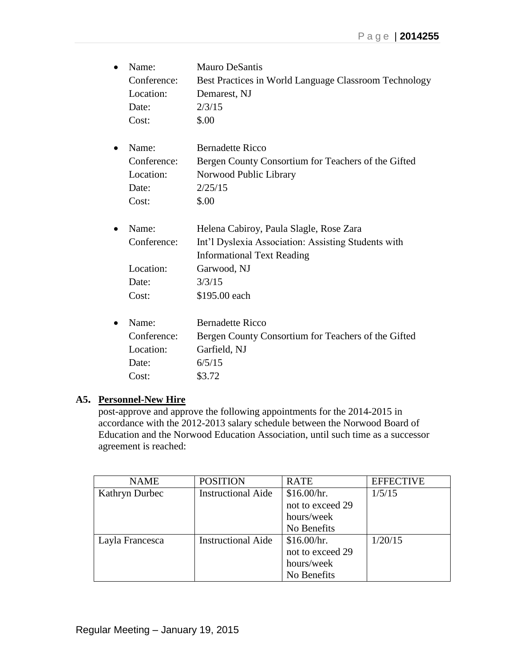|   | Name:       | <b>Mauro DeSantis</b>                                 |
|---|-------------|-------------------------------------------------------|
|   | Conference: | Best Practices in World Language Classroom Technology |
|   | Location:   | Demarest, NJ                                          |
|   | Date:       | 2/3/15                                                |
|   | Cost:       | \$.00                                                 |
| ٠ | Name:       | <b>Bernadette Ricco</b>                               |
|   | Conference: | Bergen County Consortium for Teachers of the Gifted   |
|   | Location:   | Norwood Public Library                                |
|   | Date:       | 2/25/15                                               |
|   | Cost:       | \$.00                                                 |
|   | Name:       | Helena Cabiroy, Paula Slagle, Rose Zara               |
|   | Conference: | Int'l Dyslexia Association: Assisting Students with   |
|   |             | <b>Informational Text Reading</b>                     |
|   | Location:   | Garwood, NJ                                           |
|   | Date:       | 3/3/15                                                |
|   | Cost:       | \$195.00 each                                         |
|   | Name:       | <b>Bernadette Ricco</b>                               |
|   | Conference: | Bergen County Consortium for Teachers of the Gifted   |
|   | Location:   | Garfield, NJ                                          |
|   | Date:       | 6/5/15                                                |
|   | Cost:       | \$3.72                                                |
|   |             |                                                       |

#### **A5. Personnel-New Hire**

post-approve and approve the following appointments for the 2014-2015 in accordance with the 2012-2013 salary schedule between the Norwood Board of Education and the Norwood Education Association, until such time as a successor agreement is reached:

| <b>NAME</b>     | <b>POSITION</b>           | <b>RATE</b>      | <b>EFFECTIVE</b> |
|-----------------|---------------------------|------------------|------------------|
| Kathryn Durbec  | <b>Instructional Aide</b> | \$16.00/hr.      | 1/5/15           |
|                 |                           | not to exceed 29 |                  |
|                 |                           | hours/week       |                  |
|                 |                           | No Benefits      |                  |
| Layla Francesca | <b>Instructional Aide</b> | \$16.00/hr.      | 1/20/15          |
|                 |                           | not to exceed 29 |                  |
|                 |                           | hours/week       |                  |
|                 |                           | No Benefits      |                  |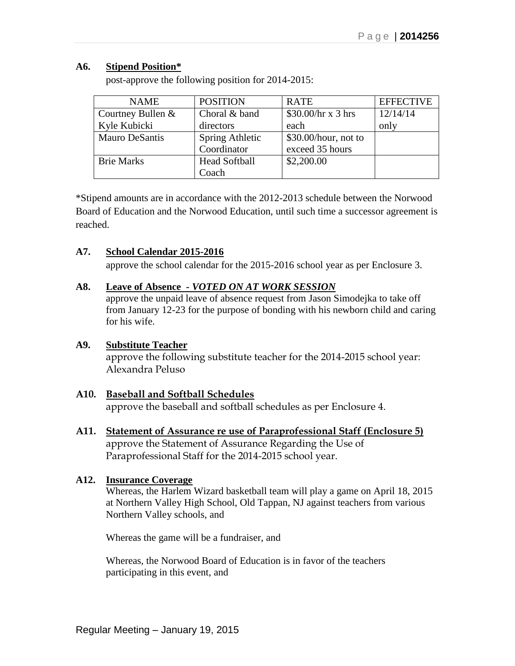## **A6. Stipend Position\***

| <b>NAME</b>           | <b>POSITION</b>      | <b>RATE</b>              | <b>EFFECTIVE</b> |
|-----------------------|----------------------|--------------------------|------------------|
| Courtney Bullen &     | Choral & band        | $$30.00/hr \times 3 hrs$ | 12/14/14         |
| Kyle Kubicki          | directors            | each                     | only             |
| <b>Mauro DeSantis</b> | Spring Athletic      | $$30.00/hour$ , not to   |                  |
|                       | Coordinator          | exceed 35 hours          |                  |
| <b>Brie Marks</b>     | <b>Head Softball</b> | \$2,200.00               |                  |
|                       | Coach                |                          |                  |

post-approve the following position for 2014-2015:

\*Stipend amounts are in accordance with the 2012-2013 schedule between the Norwood Board of Education and the Norwood Education, until such time a successor agreement is reached.

## **A7. School Calendar 2015-2016**

approve the school calendar for the 2015-2016 school year as per Enclosure 3.

## **A8. Leave of Absence -** *VOTED ON AT WORK SESSION*

approve the unpaid leave of absence request from Jason Simodejka to take off from January 12-23 for the purpose of bonding with his newborn child and caring for his wife.

## **A9. Substitute Teacher**

approve the following substitute teacher for the 2014-2015 school year: Alexandra Peluso

## **A10. Baseball and Softball Schedules**

approve the baseball and softball schedules as per Enclosure 4.

**A11. Statement of Assurance re use of Paraprofessional Staff (Enclosure 5)** approve the Statement of Assurance Regarding the Use of Paraprofessional Staff for the 2014-2015 school year.

## **A12. Insurance Coverage**

Whereas, the Harlem Wizard basketball team will play a game on April 18, 2015 at Northern Valley High School, Old Tappan, NJ against teachers from various Northern Valley schools, and

Whereas the game will be a fundraiser, and

Whereas, the Norwood Board of Education is in favor of the teachers participating in this event, and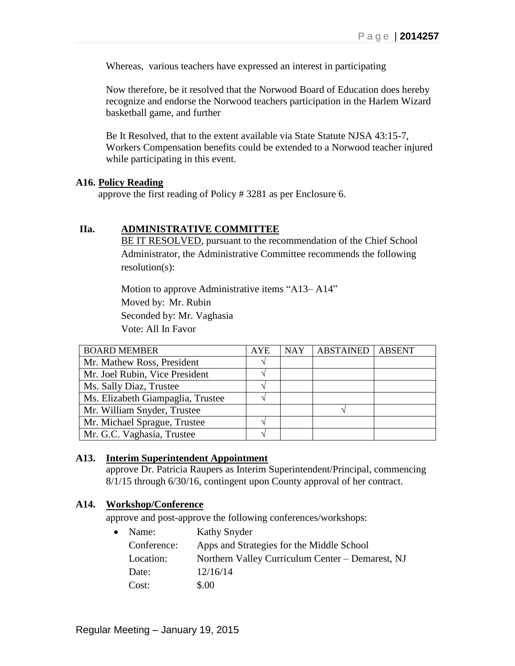Whereas, various teachers have expressed an interest in participating

Now therefore, be it resolved that the Norwood Board of Education does hereby recognize and endorse the Norwood teachers participation in the Harlem Wizard basketball game, and further

Be It Resolved, that to the extent available via State Statute NJSA 43:15-7, Workers Compensation benefits could be extended to a Norwood teacher injured while participating in this event.

#### **A16. Policy Reading**

approve the first reading of Policy # 3281 as per Enclosure 6.

#### **IIa. ADMINISTRATIVE COMMITTEE**

BE IT RESOLVED, pursuant to the recommendation of the Chief School Administrator, the Administrative Committee recommends the following resolution(s):

Motion to approve Administrative items "A13– A14" Moved by: Mr. Rubin Seconded by: Mr. Vaghasia Vote: All In Favor

| <b>BOARD MEMBER</b>               | <b>AYE</b> | <b>NAY</b> | <b>ABSTAINED</b> | <b>ABSENT</b> |
|-----------------------------------|------------|------------|------------------|---------------|
| Mr. Mathew Ross, President        |            |            |                  |               |
| Mr. Joel Rubin, Vice President    |            |            |                  |               |
| Ms. Sally Diaz, Trustee           |            |            |                  |               |
| Ms. Elizabeth Giampaglia, Trustee |            |            |                  |               |
| Mr. William Snyder, Trustee       |            |            |                  |               |
| Mr. Michael Sprague, Trustee      |            |            |                  |               |
| Mr. G.C. Vaghasia, Trustee        |            |            |                  |               |

#### **A13. Interim Superintendent Appointment**

approve Dr. Patricia Raupers as Interim Superintendent/Principal, commencing 8/1/15 through 6/30/16, contingent upon County approval of her contract.

#### **A14. Workshop/Conference**

approve and post-approve the following conferences/workshops:

| $\bullet$ | Name:       | Kathy Snyder                                     |
|-----------|-------------|--------------------------------------------------|
|           | Conference: | Apps and Strategies for the Middle School        |
|           | Location:   | Northern Valley Curriculum Center - Demarest, NJ |
|           | Date:       | 12/16/14                                         |
|           | Cost:       | \$.00                                            |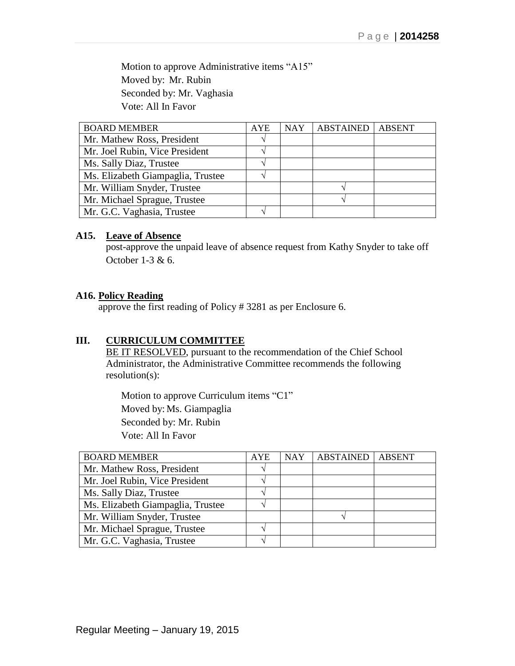Motion to approve Administrative items "A15" Moved by: Mr. Rubin Seconded by: Mr. Vaghasia Vote: All In Favor

| <b>BOARD MEMBER</b>               | <b>AYE</b> | <b>NAY</b> | <b>ABSTAINED   ABSENT</b> |  |
|-----------------------------------|------------|------------|---------------------------|--|
| Mr. Mathew Ross, President        |            |            |                           |  |
| Mr. Joel Rubin, Vice President    |            |            |                           |  |
| Ms. Sally Diaz, Trustee           |            |            |                           |  |
| Ms. Elizabeth Giampaglia, Trustee |            |            |                           |  |
| Mr. William Snyder, Trustee       |            |            |                           |  |
| Mr. Michael Sprague, Trustee      |            |            |                           |  |
| Mr. G.C. Vaghasia, Trustee        |            |            |                           |  |

#### **A15. Leave of Absence**

post-approve the unpaid leave of absence request from Kathy Snyder to take off October 1-3 & 6.

#### **A16. Policy Reading**

approve the first reading of Policy # 3281 as per Enclosure 6.

#### **III. CURRICULUM COMMITTEE**

BE IT RESOLVED, pursuant to the recommendation of the Chief School Administrator, the Administrative Committee recommends the following resolution(s):

Motion to approve Curriculum items "C1" Moved by: Ms. Giampaglia Seconded by: Mr. Rubin Vote: All In Favor

| <b>BOARD MEMBER</b>               | <b>AYE</b> | <b>NAY</b> | <b>ABSTAINED</b> | <b>ABSENT</b> |
|-----------------------------------|------------|------------|------------------|---------------|
| Mr. Mathew Ross, President        |            |            |                  |               |
| Mr. Joel Rubin, Vice President    |            |            |                  |               |
| Ms. Sally Diaz, Trustee           |            |            |                  |               |
| Ms. Elizabeth Giampaglia, Trustee |            |            |                  |               |
| Mr. William Snyder, Trustee       |            |            |                  |               |
| Mr. Michael Sprague, Trustee      |            |            |                  |               |
| Mr. G.C. Vaghasia, Trustee        |            |            |                  |               |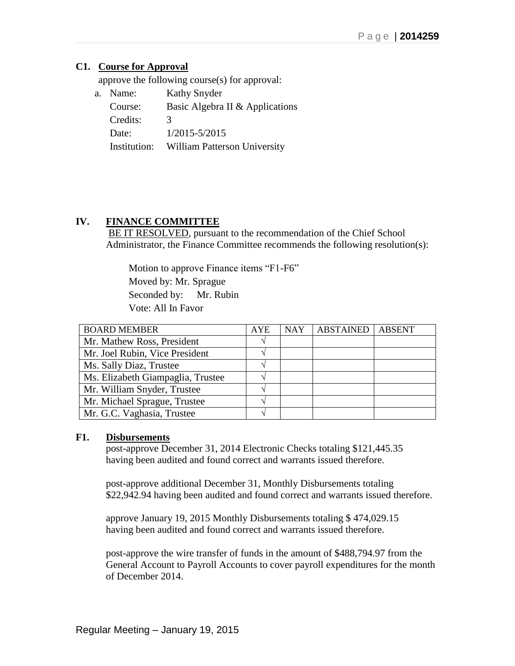## **C1. Course for Approval**

approve the following course(s) for approval:

| a. Name:     | Kathy Snyder                        |
|--------------|-------------------------------------|
| Course:      | Basic Algebra II & Applications     |
| Credits:     | 3                                   |
| Date:        | $1/2015 - 5/2015$                   |
| Institution: | <b>William Patterson University</b> |

## **IV. FINANCE COMMITTEE**

BE IT RESOLVED, pursuant to the recommendation of the Chief School Administrator, the Finance Committee recommends the following resolution(s):

 Motion to approve Finance items "F1-F6" Moved by: Mr. Sprague Seconded by: Mr. Rubin Vote: All In Favor

| <b>BOARD MEMBER</b>               | <b>AYE</b> | <b>NAY</b> | <b>ABSTAINED</b> | <b>ABSENT</b> |
|-----------------------------------|------------|------------|------------------|---------------|
| Mr. Mathew Ross, President        |            |            |                  |               |
| Mr. Joel Rubin, Vice President    |            |            |                  |               |
| Ms. Sally Diaz, Trustee           |            |            |                  |               |
| Ms. Elizabeth Giampaglia, Trustee |            |            |                  |               |
| Mr. William Snyder, Trustee       |            |            |                  |               |
| Mr. Michael Sprague, Trustee      |            |            |                  |               |
| Mr. G.C. Vaghasia, Trustee        |            |            |                  |               |

## **F1. Disbursements**

post-approve December 31, 2014 Electronic Checks totaling \$121,445.35 having been audited and found correct and warrants issued therefore.

post-approve additional December 31, Monthly Disbursements totaling \$22,942.94 having been audited and found correct and warrants issued therefore.

approve January 19, 2015 Monthly Disbursements totaling \$ 474,029.15 having been audited and found correct and warrants issued therefore.

post-approve the wire transfer of funds in the amount of \$488,794.97 from the General Account to Payroll Accounts to cover payroll expenditures for the month of December 2014.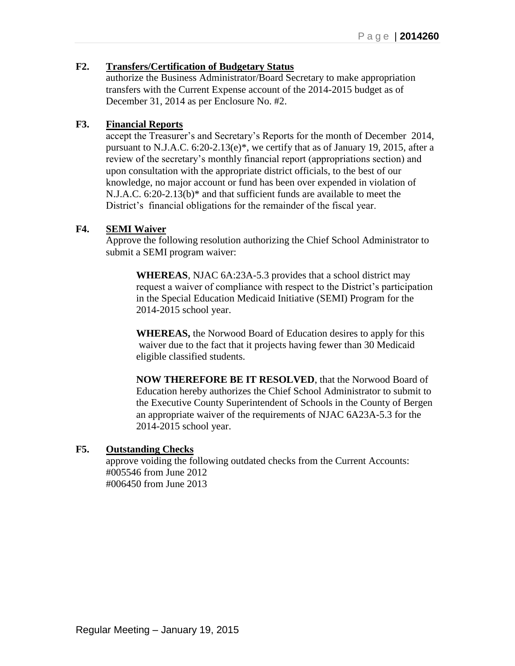## **F2. Transfers/Certification of Budgetary Status**

authorize the Business Administrator/Board Secretary to make appropriation transfers with the Current Expense account of the 2014-2015 budget as of December 31, 2014 as per Enclosure No. #2.

## **F3. Financial Reports**

accept the Treasurer's and Secretary's Reports for the month of December 2014, pursuant to N.J.A.C. 6:20-2.13(e)\*, we certify that as of January 19, 2015, after a review of the secretary's monthly financial report (appropriations section) and upon consultation with the appropriate district officials, to the best of our knowledge, no major account or fund has been over expended in violation of N.J.A.C. 6:20-2.13(b)\* and that sufficient funds are available to meet the District's financial obligations for the remainder of the fiscal year.

#### **F4. SEMI Waiver**

Approve the following resolution authorizing the Chief School Administrator to submit a SEMI program waiver:

**WHEREAS**, NJAC 6A:23A-5.3 provides that a school district may request a waiver of compliance with respect to the District's participation in the Special Education Medicaid Initiative (SEMI) Program for the 2014-2015 school year.

**WHEREAS,** the Norwood Board of Education desires to apply for this waiver due to the fact that it projects having fewer than 30 Medicaid eligible classified students.

**NOW THEREFORE BE IT RESOLVED**, that the Norwood Board of Education hereby authorizes the Chief School Administrator to submit to the Executive County Superintendent of Schools in the County of Bergen an appropriate waiver of the requirements of NJAC 6A23A-5.3 for the 2014-2015 school year.

#### **F5. Outstanding Checks**

approve voiding the following outdated checks from the Current Accounts: #005546 from June 2012 #006450 from June 2013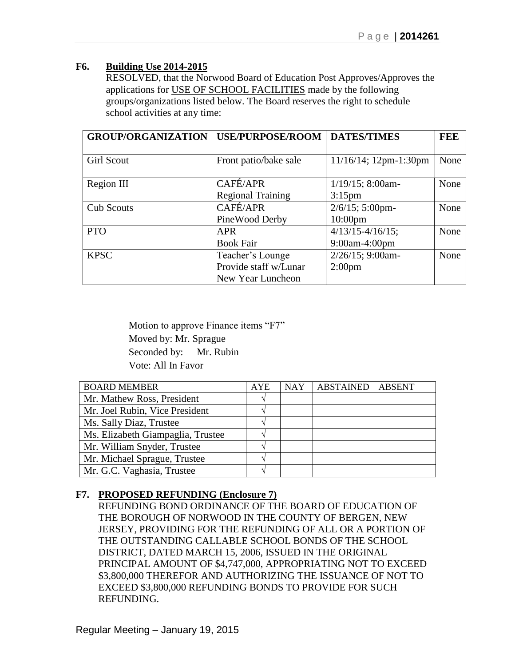# **F6. Building Use 2014-2015**

RESOLVED, that the Norwood Board of Education Post Approves/Approves the applications for USE OF SCHOOL FACILITIES made by the following groups/organizations listed below. The Board reserves the right to schedule school activities at any time:

| <b>GROUP/ORGANIZATION</b> | <b>USE/PURPOSE/ROOM</b>  | <b>DATES/TIMES</b>       | FEE  |
|---------------------------|--------------------------|--------------------------|------|
|                           |                          |                          |      |
| <b>Girl Scout</b>         | Front patio/bake sale    | $11/16/14$ ; 12pm-1:30pm | None |
|                           |                          |                          |      |
| Region III                | CAFÉ/APR                 | $1/19/15$ ; 8:00am-      | None |
|                           | <b>Regional Training</b> | $3:15$ pm                |      |
| <b>Cub Scouts</b>         | CAFÉ/APR                 | 2/6/15; 5:00pm-          | None |
|                           | PineWood Derby           | $10:00$ pm               |      |
| <b>PTO</b>                | <b>APR</b>               | $4/13/15 - 4/16/15$ ;    | None |
|                           | <b>Book Fair</b>         | 9:00am-4:00pm            |      |
| <b>KPSC</b>               | Teacher's Lounge         | $2/26/15$ ; 9:00am-      | None |
|                           | Provide staff w/Lunar    | 2:00 <sub>pm</sub>       |      |
|                           | New Year Luncheon        |                          |      |

 Motion to approve Finance items "F7" Moved by: Mr. Sprague Seconded by: Mr. Rubin Vote: All In Favor

| <b>BOARD MEMBER</b>               | <b>AYE</b> | <b>NAY</b> | <b>ABSTAINED</b> | <b>ABSENT</b> |
|-----------------------------------|------------|------------|------------------|---------------|
| Mr. Mathew Ross, President        |            |            |                  |               |
| Mr. Joel Rubin, Vice President    |            |            |                  |               |
| Ms. Sally Diaz, Trustee           |            |            |                  |               |
| Ms. Elizabeth Giampaglia, Trustee |            |            |                  |               |
| Mr. William Snyder, Trustee       |            |            |                  |               |
| Mr. Michael Sprague, Trustee      |            |            |                  |               |
| Mr. G.C. Vaghasia, Trustee        |            |            |                  |               |

# **F7. PROPOSED REFUNDING (Enclosure 7)**

REFUNDING BOND ORDINANCE OF THE BOARD OF EDUCATION OF THE BOROUGH OF NORWOOD IN THE COUNTY OF BERGEN, NEW JERSEY, PROVIDING FOR THE REFUNDING OF ALL OR A PORTION OF THE OUTSTANDING CALLABLE SCHOOL BONDS OF THE SCHOOL DISTRICT, DATED MARCH 15, 2006, ISSUED IN THE ORIGINAL PRINCIPAL AMOUNT OF \$4,747,000, APPROPRIATING NOT TO EXCEED \$3,800,000 THEREFOR AND AUTHORIZING THE ISSUANCE OF NOT TO EXCEED \$3,800,000 REFUNDING BONDS TO PROVIDE FOR SUCH REFUNDING.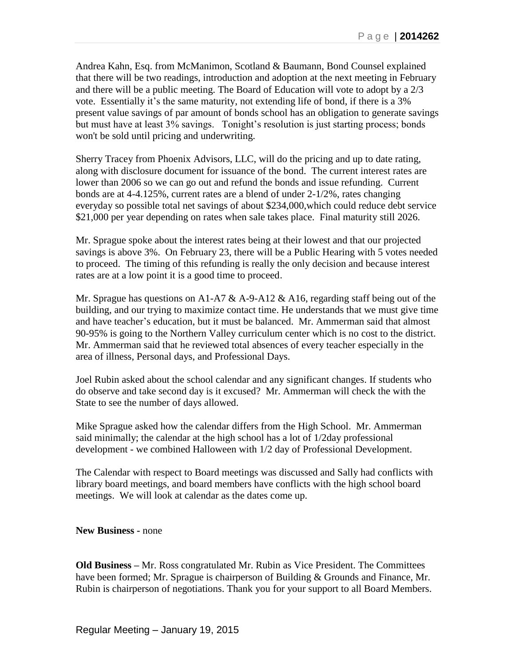Andrea Kahn, Esq. from McManimon, Scotland & Baumann, Bond Counsel explained that there will be two readings, introduction and adoption at the next meeting in February and there will be a public meeting. The Board of Education will vote to adopt by a 2/3 vote. Essentially it's the same maturity, not extending life of bond, if there is a 3% present value savings of par amount of bonds school has an obligation to generate savings but must have at least 3% savings. Tonight's resolution is just starting process; bonds won't be sold until pricing and underwriting.

Sherry Tracey from Phoenix Advisors, LLC, will do the pricing and up to date rating, along with disclosure document for issuance of the bond. The current interest rates are lower than 2006 so we can go out and refund the bonds and issue refunding. Current bonds are at 4-4.125%, current rates are a blend of under 2-1/2%, rates changing everyday so possible total net savings of about \$234,000,which could reduce debt service \$21,000 per year depending on rates when sale takes place. Final maturity still 2026.

Mr. Sprague spoke about the interest rates being at their lowest and that our projected savings is above 3%. On February 23, there will be a Public Hearing with 5 votes needed to proceed. The timing of this refunding is really the only decision and because interest rates are at a low point it is a good time to proceed.

Mr. Sprague has questions on A1-A7  $\&$  A-9-A12  $\&$  A16, regarding staff being out of the building, and our trying to maximize contact time. He understands that we must give time and have teacher's education, but it must be balanced. Mr. Ammerman said that almost 90-95% is going to the Northern Valley curriculum center which is no cost to the district. Mr. Ammerman said that he reviewed total absences of every teacher especially in the area of illness, Personal days, and Professional Days.

Joel Rubin asked about the school calendar and any significant changes. If students who do observe and take second day is it excused? Mr. Ammerman will check the with the State to see the number of days allowed.

Mike Sprague asked how the calendar differs from the High School. Mr. Ammerman said minimally; the calendar at the high school has a lot of 1/2day professional development - we combined Halloween with 1/2 day of Professional Development.

The Calendar with respect to Board meetings was discussed and Sally had conflicts with library board meetings, and board members have conflicts with the high school board meetings. We will look at calendar as the dates come up.

**New Business -** none

**Old Business –** Mr. Ross congratulated Mr. Rubin as Vice President. The Committees have been formed; Mr. Sprague is chairperson of Building & Grounds and Finance, Mr. Rubin is chairperson of negotiations. Thank you for your support to all Board Members.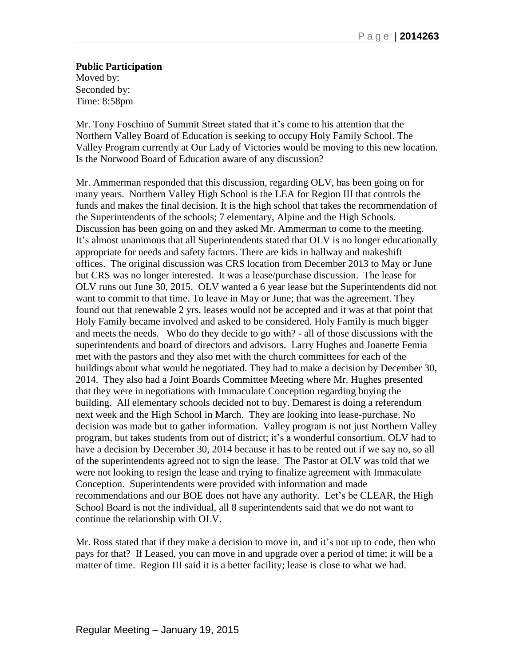**Public Participation** Moved by: Seconded by: Time: 8:58pm

Mr. Tony Foschino of Summit Street stated that it's come to his attention that the Northern Valley Board of Education is seeking to occupy Holy Family School. The Valley Program currently at Our Lady of Victories would be moving to this new location. Is the Norwood Board of Education aware of any discussion?

Mr. Ammerman responded that this discussion, regarding OLV, has been going on for many years. Northern Valley High School is the LEA for Region III that controls the funds and makes the final decision. It is the high school that takes the recommendation of the Superintendents of the schools; 7 elementary, Alpine and the High Schools. Discussion has been going on and they asked Mr. Ammerman to come to the meeting. It's almost unanimous that all Superintendents stated that OLV is no longer educationally appropriate for needs and safety factors. There are kids in hallway and makeshift offices. The original discussion was CRS location from December 2013 to May or June but CRS was no longer interested. It was a lease/purchase discussion. The lease for OLV runs out June 30, 2015. OLV wanted a 6 year lease but the Superintendents did not want to commit to that time. To leave in May or June; that was the agreement. They found out that renewable 2 yrs. leases would not be accepted and it was at that point that Holy Family became involved and asked to be considered. Holy Family is much bigger and meets the needs. Who do they decide to go with? - all of those discussions with the superintendents and board of directors and advisors. Larry Hughes and Joanette Femia met with the pastors and they also met with the church committees for each of the buildings about what would be negotiated. They had to make a decision by December 30, 2014. They also had a Joint Boards Committee Meeting where Mr. Hughes presented that they were in negotiations with Immaculate Conception regarding buying the building. All elementary schools decided not to buy. Demarest is doing a referendum next week and the High School in March. They are looking into lease-purchase. No decision was made but to gather information. Valley program is not just Northern Valley program, but takes students from out of district; it's a wonderful consortium. OLV had to have a decision by December 30, 2014 because it has to be rented out if we say no, so all of the superintendents agreed not to sign the lease. The Pastor at OLV was told that we were not looking to resign the lease and trying to finalize agreement with Immaculate Conception. Superintendents were provided with information and made recommendations and our BOE does not have any authority. Let's be CLEAR, the High School Board is not the individual, all 8 superintendents said that we do not want to continue the relationship with OLV.

Mr. Ross stated that if they make a decision to move in, and it's not up to code, then who pays for that? If Leased, you can move in and upgrade over a period of time; it will be a matter of time. Region III said it is a better facility; lease is close to what we had.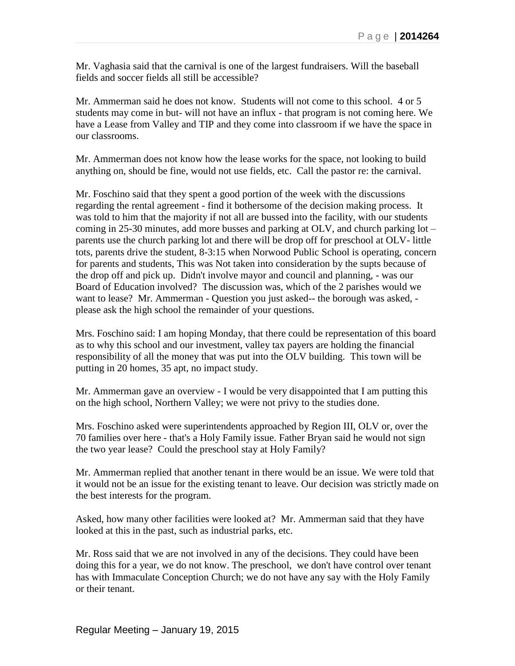Mr. Vaghasia said that the carnival is one of the largest fundraisers. Will the baseball fields and soccer fields all still be accessible?

Mr. Ammerman said he does not know. Students will not come to this school. 4 or 5 students may come in but- will not have an influx - that program is not coming here. We have a Lease from Valley and TIP and they come into classroom if we have the space in our classrooms.

Mr. Ammerman does not know how the lease works for the space, not looking to build anything on, should be fine, would not use fields, etc. Call the pastor re: the carnival.

Mr. Foschino said that they spent a good portion of the week with the discussions regarding the rental agreement - find it bothersome of the decision making process. It was told to him that the majority if not all are bussed into the facility, with our students coming in 25-30 minutes, add more busses and parking at OLV, and church parking lot – parents use the church parking lot and there will be drop off for preschool at OLV- little tots, parents drive the student, 8-3:15 when Norwood Public School is operating, concern for parents and students, This was Not taken into consideration by the supts because of the drop off and pick up. Didn't involve mayor and council and planning, - was our Board of Education involved? The discussion was, which of the 2 parishes would we want to lease? Mr. Ammerman - Question you just asked-- the borough was asked, please ask the high school the remainder of your questions.

Mrs. Foschino said: I am hoping Monday, that there could be representation of this board as to why this school and our investment, valley tax payers are holding the financial responsibility of all the money that was put into the OLV building. This town will be putting in 20 homes, 35 apt, no impact study.

Mr. Ammerman gave an overview - I would be very disappointed that I am putting this on the high school, Northern Valley; we were not privy to the studies done.

Mrs. Foschino asked were superintendents approached by Region III, OLV or, over the 70 families over here - that's a Holy Family issue. Father Bryan said he would not sign the two year lease? Could the preschool stay at Holy Family?

Mr. Ammerman replied that another tenant in there would be an issue. We were told that it would not be an issue for the existing tenant to leave. Our decision was strictly made on the best interests for the program.

Asked, how many other facilities were looked at? Mr. Ammerman said that they have looked at this in the past, such as industrial parks, etc.

Mr. Ross said that we are not involved in any of the decisions. They could have been doing this for a year, we do not know. The preschool, we don't have control over tenant has with Immaculate Conception Church; we do not have any say with the Holy Family or their tenant.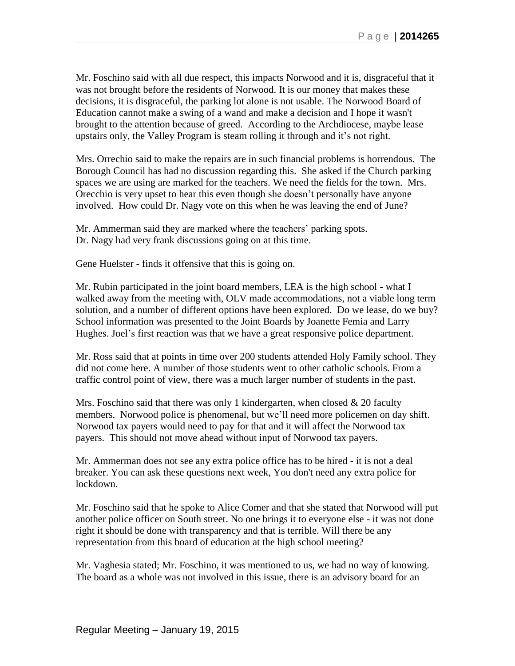Mr. Foschino said with all due respect, this impacts Norwood and it is, disgraceful that it was not brought before the residents of Norwood. It is our money that makes these decisions, it is disgraceful, the parking lot alone is not usable. The Norwood Board of Education cannot make a swing of a wand and make a decision and I hope it wasn't brought to the attention because of greed. According to the Archdiocese, maybe lease upstairs only, the Valley Program is steam rolling it through and it's not right.

Mrs. Orrechio said to make the repairs are in such financial problems is horrendous. The Borough Council has had no discussion regarding this. She asked if the Church parking spaces we are using are marked for the teachers. We need the fields for the town. Mrs. Orecchio is very upset to hear this even though she doesn't personally have anyone involved. How could Dr. Nagy vote on this when he was leaving the end of June?

Mr. Ammerman said they are marked where the teachers' parking spots. Dr. Nagy had very frank discussions going on at this time.

Gene Huelster - finds it offensive that this is going on.

Mr. Rubin participated in the joint board members, LEA is the high school - what I walked away from the meeting with, OLV made accommodations, not a viable long term solution, and a number of different options have been explored. Do we lease, do we buy? School information was presented to the Joint Boards by Joanette Femia and Larry Hughes. Joel's first reaction was that we have a great responsive police department.

Mr. Ross said that at points in time over 200 students attended Holy Family school. They did not come here. A number of those students went to other catholic schools. From a traffic control point of view, there was a much larger number of students in the past.

Mrs. Foschino said that there was only 1 kindergarten, when closed  $\&$  20 faculty members. Norwood police is phenomenal, but we'll need more policemen on day shift. Norwood tax payers would need to pay for that and it will affect the Norwood tax payers. This should not move ahead without input of Norwood tax payers.

Mr. Ammerman does not see any extra police office has to be hired - it is not a deal breaker. You can ask these questions next week, You don't need any extra police for lockdown.

Mr. Foschino said that he spoke to Alice Comer and that she stated that Norwood will put another police officer on South street. No one brings it to everyone else - it was not done right it should be done with transparency and that is terrible. Will there be any representation from this board of education at the high school meeting?

Mr. Vaghesia stated; Mr. Foschino, it was mentioned to us, we had no way of knowing. The board as a whole was not involved in this issue, there is an advisory board for an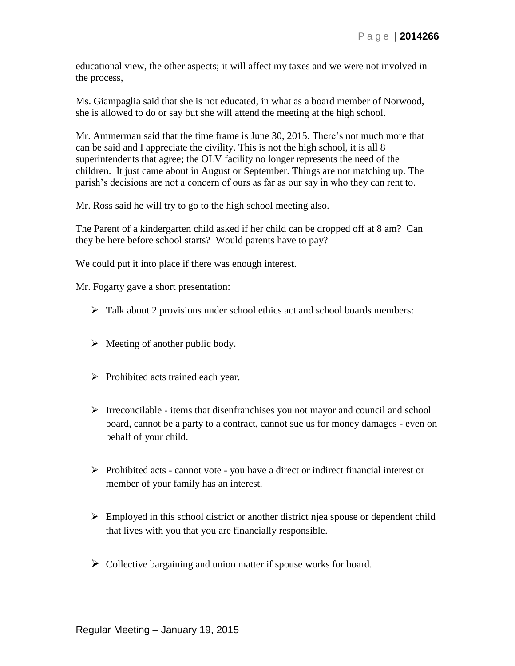educational view, the other aspects; it will affect my taxes and we were not involved in the process,

Ms. Giampaglia said that she is not educated, in what as a board member of Norwood, she is allowed to do or say but she will attend the meeting at the high school.

Mr. Ammerman said that the time frame is June 30, 2015. There's not much more that can be said and I appreciate the civility. This is not the high school, it is all 8 superintendents that agree; the OLV facility no longer represents the need of the children. It just came about in August or September. Things are not matching up. The parish's decisions are not a concern of ours as far as our say in who they can rent to.

Mr. Ross said he will try to go to the high school meeting also.

The Parent of a kindergarten child asked if her child can be dropped off at 8 am? Can they be here before school starts? Would parents have to pay?

We could put it into place if there was enough interest.

Mr. Fogarty gave a short presentation:

- $\triangleright$  Talk about 2 provisions under school ethics act and school boards members:
- $\triangleright$  Meeting of another public body.
- $\triangleright$  Prohibited acts trained each year.
- $\triangleright$  Irreconcilable items that disenfranchises you not mayor and council and school board, cannot be a party to a contract, cannot sue us for money damages - even on behalf of your child.
- $\triangleright$  Prohibited acts cannot vote you have a direct or indirect financial interest or member of your family has an interest.
- $\triangleright$  Employed in this school district or another district njea spouse or dependent child that lives with you that you are financially responsible.
- $\triangleright$  Collective bargaining and union matter if spouse works for board.